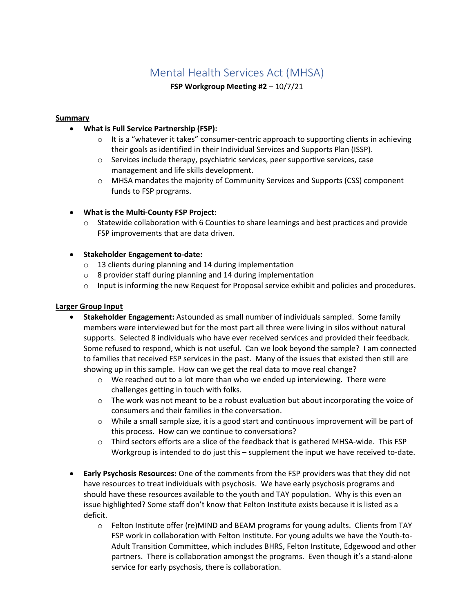### Mental Health Services Act (MHSA)

**FSP Workgroup Meeting #2** – 10/7/21

#### **Summary**

#### • **What is Full Service Partnership (FSP):**

- $\circ$  It is a "whatever it takes" consumer-centric approach to supporting clients in achieving their goals as identified in their Individual Services and Supports Plan (ISSP).
- o Services include therapy, psychiatric services, peer supportive services, case management and life skills development.
- o MHSA mandates the majority of Community Services and Supports (CSS) component funds to FSP programs.

#### • **What is the Multi-County FSP Project:**

o Statewide collaboration with 6 Counties to share learnings and best practices and provide FSP improvements that are data driven.

#### • **Stakeholder Engagement to-date:**

- o 13 clients during planning and 14 during implementation
- o 8 provider staff during planning and 14 during implementation
- o Input is informing the new Request for Proposal service exhibit and policies and procedures.

#### **Larger Group Input**

- **Stakeholder Engagement:** Astounded as small number of individuals sampled. Some family members were interviewed but for the most part all three were living in silos without natural supports. Selected 8 individuals who have ever received services and provided their feedback. Some refused to respond, which is not useful. Can we look beyond the sample? I am connected to families that received FSP services in the past. Many of the issues that existed then still are showing up in this sample. How can we get the real data to move real change?
	- $\circ$  We reached out to a lot more than who we ended up interviewing. There were challenges getting in touch with folks.
	- o The work was not meant to be a robust evaluation but about incorporating the voice of consumers and their families in the conversation.
	- o While a small sample size, it is a good start and continuous improvement will be part of this process. How can we continue to conversations?
	- $\circ$  Third sectors efforts are a slice of the feedback that is gathered MHSA-wide. This FSP Workgroup is intended to do just this – supplement the input we have received to-date.
- **Early Psychosis Resources:** One of the comments from the FSP providers was that they did not have resources to treat individuals with psychosis. We have early psychosis programs and should have these resources available to the youth and TAY population. Why is this even an issue highlighted? Some staff don't know that Felton Institute exists because it is listed as a deficit.
	- o Felton Institute offer (re)MIND and BEAM programs for young adults. Clients from TAY FSP work in collaboration with Felton Institute. For young adults we have the Youth-to-Adult Transition Committee, which includes BHRS, Felton Institute, Edgewood and other partners. There is collaboration amongst the programs. Even though it's a stand-alone service for early psychosis, there is collaboration.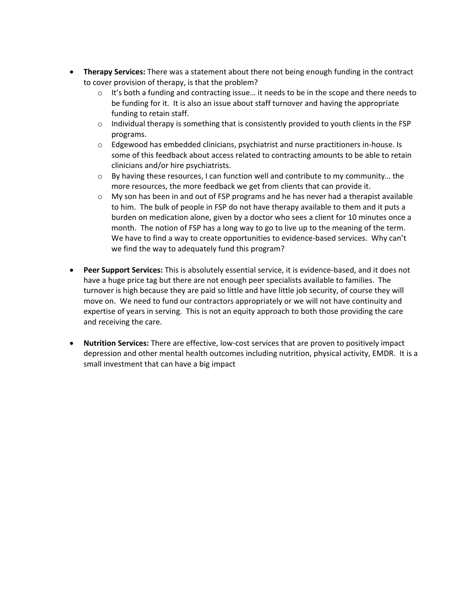- **Therapy Services:** There was a statement about there not being enough funding in the contract to cover provision of therapy, is that the problem?
	- $\circ$  It's both a funding and contracting issue... it needs to be in the scope and there needs to be funding for it. It is also an issue about staff turnover and having the appropriate funding to retain staff.
	- $\circ$  Individual therapy is something that is consistently provided to youth clients in the FSP programs.
	- o Edgewood has embedded clinicians, psychiatrist and nurse practitioners in-house. Is some of this feedback about access related to contracting amounts to be able to retain clinicians and/or hire psychiatrists.
	- $\circ$  By having these resources, I can function well and contribute to my community... the more resources, the more feedback we get from clients that can provide it.
	- $\circ$  My son has been in and out of FSP programs and he has never had a therapist available to him. The bulk of people in FSP do not have therapy available to them and it puts a burden on medication alone, given by a doctor who sees a client for 10 minutes once a month. The notion of FSP has a long way to go to live up to the meaning of the term. We have to find a way to create opportunities to evidence-based services. Why can't we find the way to adequately fund this program?
- **Peer Support Services:** This is absolutely essential service, it is evidence-based, and it does not have a huge price tag but there are not enough peer specialists available to families. The turnover is high because they are paid so little and have little job security, of course they will move on. We need to fund our contractors appropriately or we will not have continuity and expertise of years in serving. This is not an equity approach to both those providing the care and receiving the care.
- **Nutrition Services:** There are effective, low-cost services that are proven to positively impact depression and other mental health outcomes including nutrition, physical activity, EMDR. It is a small investment that can have a big impact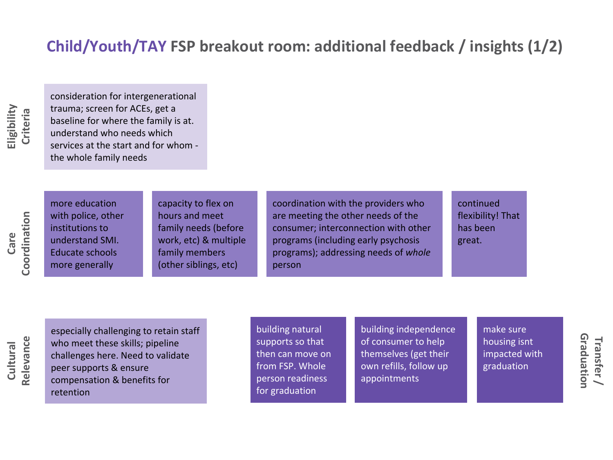# **Child/Youth/TAY FSP breakout room: additional feedback / insights (1/2)**

**Eligibility Criteria** consideration for intergenerational trauma; screen for ACEs, get a baseline for where the family is at. understand who needs which services at the start and for whom the whole family needs

Coordination **Coordination Care** 

more education with police, other institutions to understand SMI. Educate schools more generally

capacity to flex on hours and meet family needs (before work, etc) & multiple family members (other siblings, etc)

coordination with the providers who are meeting the other needs of the consumer; interconnection with other programs (including early psychosis programs); addressing needs of *whole* person

continued flexibility! That has been great.

Relevance **Relevance Cultural** 

especially challenging to retain staff who meet these skills; pipeline challenges here. Need to validate peer supports & ensure compensation & benefits for retention

building natural supports so that then can move on from FSP. Whole person readiness for graduation

building independence of consumer to help themselves (get their own refills, follow up appointments

make sure housing isnt impacted with graduation

Graduation **Graduation Transfer /**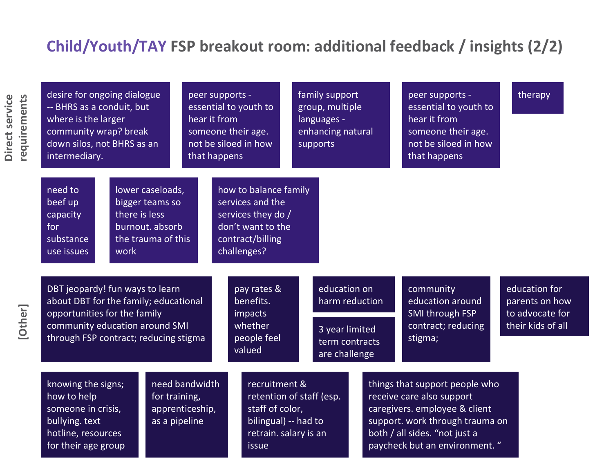## **Child/Youth/TAY FSP breakout room: additional feedback / insights (2/2)**

**Direct service** 

Direct service

| requirements | desire for ongoing dialogue<br>-- BHRS as a conduit, but<br>where is the larger<br>community wrap? break<br>down silos, not BHRS as an<br>intermediary.                             |                                                                                                       |                                   | peer supports -<br>essential to youth to<br>hear it from<br>someone their age.<br>not be siloed in how<br>that happens  |                                               | family support<br>group, multiple<br>languages -<br>enhancing natural<br>supports   |  | peer supports -<br>essential to youth to<br>hear it from<br>someone their age.<br>not be siloed in how<br>that happens                                                                             | therapy                                                                 |  |
|--------------|-------------------------------------------------------------------------------------------------------------------------------------------------------------------------------------|-------------------------------------------------------------------------------------------------------|-----------------------------------|-------------------------------------------------------------------------------------------------------------------------|-----------------------------------------------|-------------------------------------------------------------------------------------|--|----------------------------------------------------------------------------------------------------------------------------------------------------------------------------------------------------|-------------------------------------------------------------------------|--|
|              | need to<br>beef up<br>capacity<br>for<br>substance<br>use issues                                                                                                                    | lower caseloads,<br>bigger teams so<br>there is less<br>burnout. absorb<br>the trauma of this<br>work |                                   | how to balance family<br>services and the<br>services they do /<br>don't want to the<br>contract/billing<br>challenges? |                                               |                                                                                     |  |                                                                                                                                                                                                    |                                                                         |  |
| [Other]      | DBT jeopardy! fun ways to learn<br>about DBT for the family; educational<br>opportunities for the family<br>community education around SMI<br>through FSP contract; reducing stigma |                                                                                                       |                                   | pay rates &<br>benefits.<br>impacts<br>whether<br>people feel<br>valued                                                 |                                               | education on<br>harm reduction<br>3 year limited<br>term contracts<br>are challenge |  | community<br>education around<br>SMI through FSP<br>contract; reducing<br>stigma;                                                                                                                  | education for<br>parents on how<br>to advocate for<br>their kids of all |  |
|              | knowing the signs;<br>how to help<br>for training,<br>someone in crisis,<br>bullying. text<br>as a pipeline<br>hotline, resources<br>for their age group                            |                                                                                                       | need bandwidth<br>apprenticeship, | recruitment &<br>staff of color,<br>issue                                                                               | bilingual) -- had to<br>retrain. salary is an | retention of staff (esp.                                                            |  | things that support people who<br>receive care also support<br>caregivers. employee & client<br>support. work through trauma on<br>both / all sides. "not just a<br>paycheck but an environment. " |                                                                         |  |